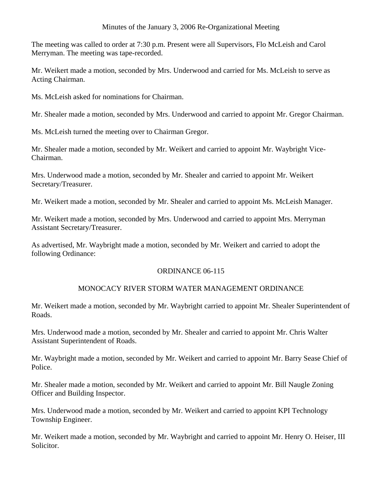## Minutes of the January 3, 2006 Re-Organizational Meeting

The meeting was called to order at 7:30 p.m. Present were all Supervisors, Flo McLeish and Carol Merryman. The meeting was tape-recorded.

Mr. Weikert made a motion, seconded by Mrs. Underwood and carried for Ms. McLeish to serve as Acting Chairman.

Ms. McLeish asked for nominations for Chairman.

Mr. Shealer made a motion, seconded by Mrs. Underwood and carried to appoint Mr. Gregor Chairman.

Ms. McLeish turned the meeting over to Chairman Gregor.

Mr. Shealer made a motion, seconded by Mr. Weikert and carried to appoint Mr. Waybright Vice-Chairman.

Mrs. Underwood made a motion, seconded by Mr. Shealer and carried to appoint Mr. Weikert Secretary/Treasurer.

Mr. Weikert made a motion, seconded by Mr. Shealer and carried to appoint Ms. McLeish Manager.

Mr. Weikert made a motion, seconded by Mrs. Underwood and carried to appoint Mrs. Merryman Assistant Secretary/Treasurer.

As advertised, Mr. Waybright made a motion, seconded by Mr. Weikert and carried to adopt the following Ordinance:

# ORDINANCE 06-115

# MONOCACY RIVER STORM WATER MANAGEMENT ORDINANCE

Mr. Weikert made a motion, seconded by Mr. Waybright carried to appoint Mr. Shealer Superintendent of Roads.

Mrs. Underwood made a motion, seconded by Mr. Shealer and carried to appoint Mr. Chris Walter Assistant Superintendent of Roads.

Mr. Waybright made a motion, seconded by Mr. Weikert and carried to appoint Mr. Barry Sease Chief of Police.

Mr. Shealer made a motion, seconded by Mr. Weikert and carried to appoint Mr. Bill Naugle Zoning Officer and Building Inspector.

Mrs. Underwood made a motion, seconded by Mr. Weikert and carried to appoint KPI Technology Township Engineer.

Mr. Weikert made a motion, seconded by Mr. Waybright and carried to appoint Mr. Henry O. Heiser, III Solicitor.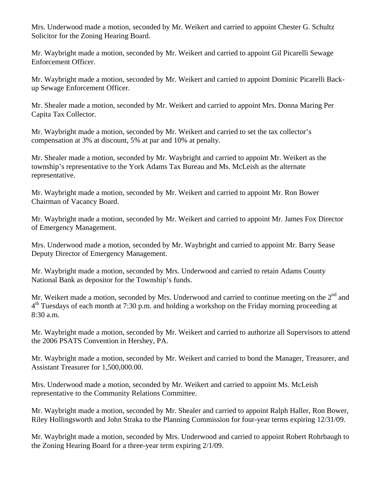Mrs. Underwood made a motion, seconded by Mr. Weikert and carried to appoint Chester G. Schultz Solicitor for the Zoning Hearing Board.

Mr. Waybright made a motion, seconded by Mr. Weikert and carried to appoint Gil Picarelli Sewage Enforcement Officer.

Mr. Waybright made a motion, seconded by Mr. Weikert and carried to appoint Dominic Picarelli Backup Sewage Enforcement Officer.

Mr. Shealer made a motion, seconded by Mr. Weikert and carried to appoint Mrs. Donna Maring Per Capita Tax Collector.

Mr. Waybright made a motion, seconded by Mr. Weikert and carried to set the tax collector's compensation at 3% at discount, 5% at par and 10% at penalty.

Mr. Shealer made a motion, seconded by Mr. Waybright and carried to appoint Mr. Weikert as the township's representative to the York Adams Tax Bureau and Ms. McLeish as the alternate representative.

Mr. Waybright made a motion, seconded by Mr. Weikert and carried to appoint Mr. Ron Bower Chairman of Vacancy Board.

Mr. Waybright made a motion, seconded by Mr. Weikert and carried to appoint Mr. James Fox Director of Emergency Management.

Mrs. Underwood made a motion, seconded by Mr. Waybright and carried to appoint Mr. Barry Sease Deputy Director of Emergency Management.

Mr. Waybright made a motion, seconded by Mrs. Underwood and carried to retain Adams County National Bank as depositor for the Township's funds.

Mr. Weikert made a motion, seconded by Mrs. Underwood and carried to continue meeting on the  $2<sup>nd</sup>$  and  $4<sup>th</sup>$  Tuesdays of each month at 7:30 p.m. and holding a workshop on the Friday morning proceeding at 8:30 a.m.

Mr. Waybright made a motion, seconded by Mr. Weikert and carried to authorize all Supervisors to attend the 2006 PSATS Convention in Hershey, PA.

Mr. Waybright made a motion, seconded by Mr. Weikert and carried to bond the Manager, Treasurer, and Assistant Treasurer for 1,500,000.00.

Mrs. Underwood made a motion, seconded by Mr. Weikert and carried to appoint Ms. McLeish representative to the Community Relations Committee.

Mr. Waybright made a motion, seconded by Mr. Shealer and carried to appoint Ralph Haller, Ron Bower, Riley Hollingsworth and John Straka to the Planning Commission for four-year terms expiring 12/31/09.

Mr. Waybright made a motion, seconded by Mrs. Underwood and carried to appoint Robert Rohrbaugh to the Zoning Hearing Board for a three-year term expiring 2/1/09.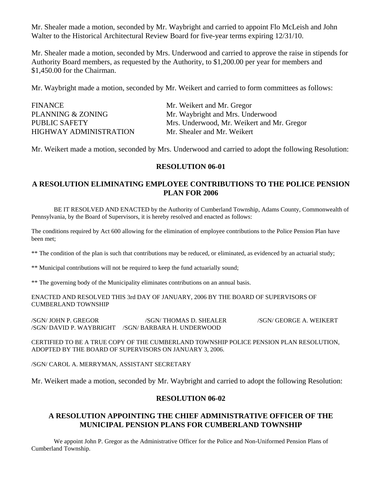Mr. Shealer made a motion, seconded by Mr. Waybright and carried to appoint Flo McLeish and John Walter to the Historical Architectural Review Board for five-year terms expiring 12/31/10.

Mr. Shealer made a motion, seconded by Mrs. Underwood and carried to approve the raise in stipends for Authority Board members, as requested by the Authority, to \$1,200.00 per year for members and \$1,450.00 for the Chairman.

Mr. Waybright made a motion, seconded by Mr. Weikert and carried to form committees as follows:

| <b>FINANCE</b>         | Mr. Weikert and Mr. Gregor                 |
|------------------------|--------------------------------------------|
| PLANNING & ZONING      | Mr. Waybright and Mrs. Underwood           |
| <b>PUBLIC SAFETY</b>   | Mrs. Underwood, Mr. Weikert and Mr. Gregor |
| HIGHWAY ADMINISTRATION | Mr. Shealer and Mr. Weikert                |

Mr. Weikert made a motion, seconded by Mrs. Underwood and carried to adopt the following Resolution:

#### **RESOLUTION 06-01**

## **A RESOLUTION ELIMINATING EMPLOYEE CONTRIBUTIONS TO THE POLICE PENSION PLAN FOR 2006**

 BE IT RESOLVED AND ENACTED by the Authority of Cumberland Township, Adams County, Commonwealth of Pennsylvania, by the Board of Supervisors, it is hereby resolved and enacted as follows:

The conditions required by Act 600 allowing for the elimination of employee contributions to the Police Pension Plan have been met;

\*\* The condition of the plan is such that contributions may be reduced, or eliminated, as evidenced by an actuarial study;

\*\* Municipal contributions will not be required to keep the fund actuarially sound;

\*\* The governing body of the Municipality eliminates contributions on an annual basis.

ENACTED AND RESOLVED THIS 3rd DAY OF JANUARY, 2006 BY THE BOARD OF SUPERVISORS OF CUMBERLAND TOWNSHIP

/SGN/ JOHN P. GREGOR /SGN/ THOMAS D. SHEALER /SGN/ GEORGE A. WEIKERT /SGN/ DAVID P. WAYBRIGHT /SGN/ BARBARA H. UNDERWOOD

CERTIFIED TO BE A TRUE COPY OF THE CUMBERLAND TOWNSHIP POLICE PENSION PLAN RESOLUTION, ADOPTED BY THE BOARD OF SUPERVISORS ON JANUARY 3, 2006.

/SGN/ CAROL A. MERRYMAN, ASSISTANT SECRETARY

Mr. Weikert made a motion, seconded by Mr. Waybright and carried to adopt the following Resolution:

### **RESOLUTION 06-02**

## **A RESOLUTION APPOINTING THE CHIEF ADMINISTRATIVE OFFICER OF THE MUNICIPAL PENSION PLANS FOR CUMBERLAND TOWNSHIP**

 We appoint John P. Gregor as the Administrative Officer for the Police and Non-Uniformed Pension Plans of Cumberland Township.